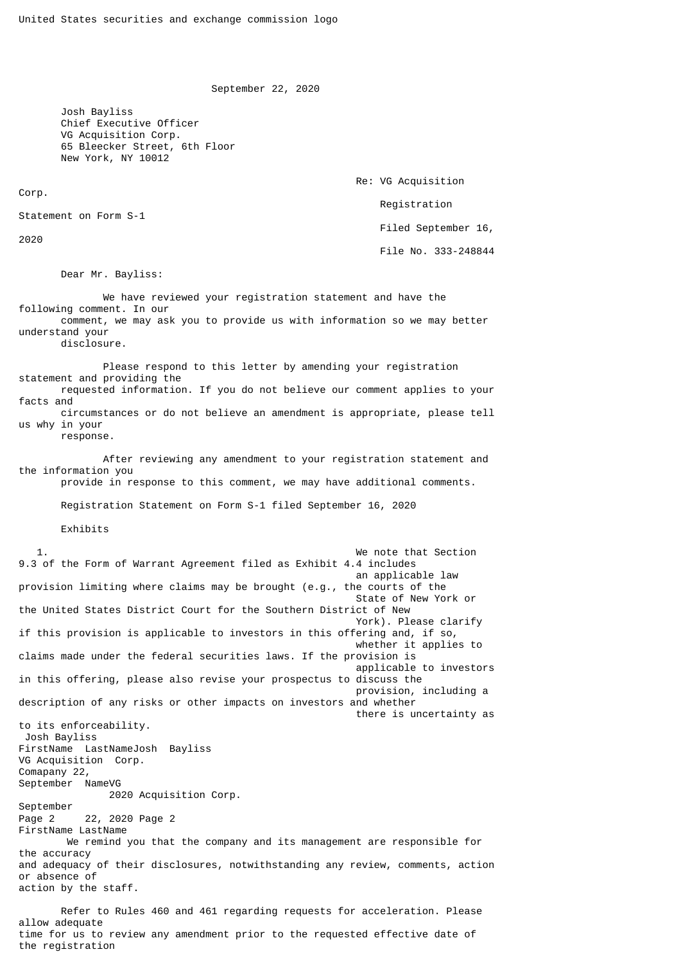September 22, 2020

 Josh Bayliss Chief Executive Officer VG Acquisition Corp. 65 Bleecker Street, 6th Floor New York, NY 10012

Re: VG Acquisition

Registration

Statement on Form S-1

2020

Corp.

Filed September 16,

File No. 333-248844

Dear Mr. Bayliss:

 We have reviewed your registration statement and have the following comment. In our comment, we may ask you to provide us with information so we may better understand your disclosure.

 Please respond to this letter by amending your registration statement and providing the requested information. If you do not believe our comment applies to your facts and circumstances or do not believe an amendment is appropriate, please tell us why in your

response.

 After reviewing any amendment to your registration statement and the information you provide in response to this comment, we may have additional comments.

Registration Statement on Form S-1 filed September 16, 2020

Exhibits

 1. We note that Section 9.3 of the Form of Warrant Agreement filed as Exhibit 4.4 includes an applicable law provision limiting where claims may be brought (e.g., the courts of the State of New York or the United States District Court for the Southern District of New York). Please clarify if this provision is applicable to investors in this offering and, if so, whether it applies to claims made under the federal securities laws. If the provision is applicable to investors in this offering, please also revise your prospectus to discuss the provision, including a description of any risks or other impacts on investors and whether there is uncertainty as to its enforceability. Josh Bayliss FirstName LastNameJosh Bayliss VG Acquisition Corp. Comapany 22, September NameVG 2020 Acquisition Corp. September Page 2 22, 2020 Page 2 FirstName LastName We remind you that the company and its management are responsible for the accuracy and adequacy of their disclosures, notwithstanding any review, comments, action or absence of action by the staff.

 Refer to Rules 460 and 461 regarding requests for acceleration. Please allow adequate time for us to review any amendment prior to the requested effective date of the registration